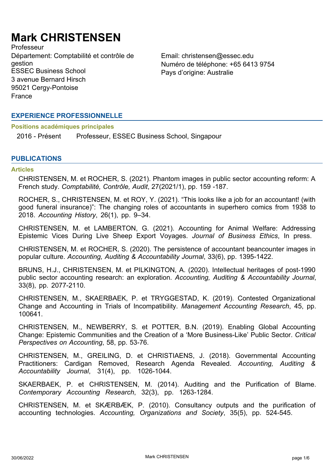# **Mark CHRISTENSEN**

Professeur Département: Comptabilité et contrôle de gestion ESSEC Business School Pays d'origine: Australie 3 avenue Bernard Hirsch 95021 Cergy-Pontoise France

Email: christensen@essec.edu Numéro de téléphone: +65 6413 9754

## **EXPERIENCE PROFESSIONNELLE**

**Positions académiques principales**

2016 - Présent Professeur, ESSEC Business School, Singapour

## **PUBLICATIONS**

## **Articles**

CHRISTENSEN, M. et ROCHER, S. (2021). Phantom images in public sector accounting reform: A French study. *Comptabilité, Contrôle, Audit*, 27(2021/1), pp. 159 -187.

ROCHER, S., CHRISTENSEN, M. et ROY, Y. (2021). "This looks like a job for an accountant! (with good funeral insurance)": The changing roles of accountants in superhero comics from 1938 to 2018. *Accounting History*, 26(1), pp. 9–34.

CHRISTENSEN, M. et LAMBERTON, G. (2021). Accounting for Animal Welfare: Addressing Epistemic Vices During Live Sheep Export Voyages. *Journal of Business Ethics*, In press.

CHRISTENSEN, M. et ROCHER, S. (2020). The persistence of accountant beancounter images in popular culture. *Accounting, Auditing & Accountability Journal*, 33(6), pp. 1395-1422.

BRUNS, H.J., CHRISTENSEN, M. et PILKINGTON, A. (2020). Intellectual heritages of post-1990 public sector accounting research: an exploration. *Accounting, Auditing & Accountability Journal*, 33(8), pp. 2077-2110.

CHRISTENSEN, M., SKAERBAEK, P. et TRYGGESTAD, K. (2019). Contested Organizational Change and Accounting in Trials of Incompatibility. *Management Accounting Research*, 45, pp. 100641.

CHRISTENSEN, M., NEWBERRY, S. et POTTER, B.N. (2019). Enabling Global Accounting Change: Epistemic Communities and the Creation of a 'More Business-Like' Public Sector. *Critical Perspectives on Accounting*, 58, pp. 53-76.

CHRISTENSEN, M., GREILING, D. et CHRISTIAENS, J. (2018). Governmental Accounting Practitioners: Cardigan Removed, Research Agenda Revealed. *Accounting, Auditing & Accountability Journal*, 31(4), pp. 1026-1044.

SKAERBAEK, P. et CHRISTENSEN, M. (2014). Auditing and the Purification of Blame. *Contemporary Accounting Research*, 32(3), pp. 1263-1284.

CHRISTENSEN, M. et SKÆRBÆK, P. (2010). Consultancy outputs and the purification of accounting technologies. *Accounting, Organizations and Society*, 35(5), pp. 524-545.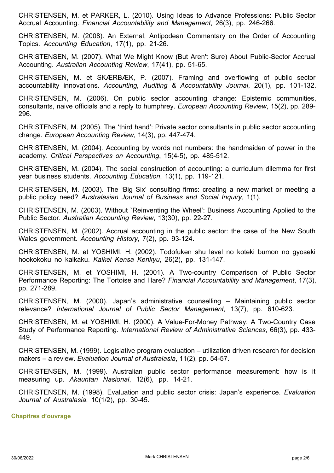CHRISTENSEN, M. et PARKER, L. (2010). Using Ideas to Advance Professions: Public Sector Accrual Accounting. *Financial Accountability and Management*, 26(3), pp. 246-266.

CHRISTENSEN, M. (2008). An External, Antipodean Commentary on the Order of Accounting Topics. *Accounting Education*, 17(1), pp. 21-26.

CHRISTENSEN, M. (2007). What We Might Know (But Aren't Sure) About Public-Sector Accrual Accounting. *Australian Accounting Review*, 17(41), pp. 51-65.

CHRISTENSEN, M. et SKÆRBÆK, P. (2007). Framing and overflowing of public sector accountability innovations. *Accounting, Auditing & Accountability Journal*, 20(1), pp. 101-132.

CHRISTENSEN, M. (2006). On public sector accounting change: Epistemic communities, consultants, naive officials and a reply to humphrey. *European Accounting Review*, 15(2), pp. 289- 296.

CHRISTENSEN, M. (2005). The 'third hand': Private sector consultants in public sector accounting change. *European Accounting Review*, 14(3), pp. 447-474.

CHRISTENSEN, M. (2004). Accounting by words not numbers: the handmaiden of power in the academy. *Critical Perspectives on Accounting*, 15(4-5), pp. 485-512.

CHRISTENSEN, M. (2004). The social construction of accounting: a curriculum dilemma for first year business students. *Accounting Education*, 13(1), pp. 119-121.

CHRISTENSEN, M. (2003). The 'Big Six' consulting firms: creating a new market or meeting a public policy need? *Australasian Journal of Business and Social Inquiry*, 1(1).

CHRISTENSEN, M. (2003). Without `Reinventing the Wheel': Business Accounting Applied to the Public Sector. *Australian Accounting Review*, 13(30), pp. 22-27.

CHRISTENSEN, M. (2002). Accrual accounting in the public sector: the case of the New South Wales government. *Accounting History*, 7(2), pp. 93-124.

CHRISTENSEN, M. et YOSHIMI, H. (2002). Todofuken shu level no koteki bumon no gyoseki hookokoku no kaikaku. *Kaikei Kensa Kenkyu*, 26(2), pp. 131-147.

CHRISTENSEN, M. et YOSHIMI, H. (2001). A Two-country Comparison of Public Sector Performance Reporting: The Tortoise and Hare? *Financial Accountability and Management*, 17(3), pp. 271-289.

CHRISTENSEN, M. (2000). Japan's administrative counselling – Maintaining public sector relevance? *International Journal of Public Sector Management*, 13(7), pp. 610-623.

CHRISTENSEN, M. et YOSHIMI, H. (2000). A Value-For-Money Pathway: A Two-Country Case Study of Performance Reporting. *International Review of Administrative Sciences*, 66(3), pp. 433- 449.

CHRISTENSEN, M. (1999). Legislative program evaluation – utilization driven research for decision makers – a review. *Evaluation Journal of Australasia*, 11(2), pp. 54-57.

CHRISTENSEN, M. (1999). Australian public sector performance measurement: how is it measuring up. *Akauntan Nasional*, 12(6), pp. 14-21.

CHRISTENSEN, M. (1998). Evaluation and public sector crisis: Japan's experience. *Evaluation Journal of Australasia*, 10(1/2), pp. 30-45.

**Chapitres d'ouvrage**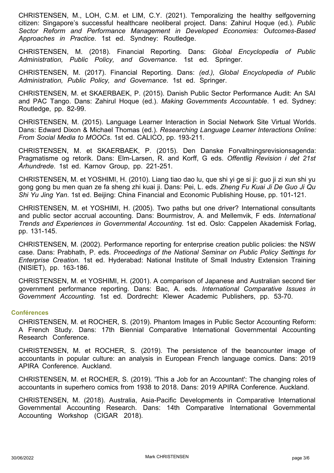CHRISTENSEN, M., LOH, C.M. et LIM, C.Y. (2021). Temporalizing the healthy selfgoverning citizen: Singapore's successful healthcare neoliberal project. Dans: Zahirul Hoque (ed.). *Public Sector Reform and Performance Management in Developed Economies: Outcomes-Based Approaches in Practice*. 1st ed. Syndney: Routledge.

CHRISTENSEN, M. (2018). Financial Reporting. Dans: *Global Encyclopedia of Public Administration, Public Policy, and Governance*. 1st ed. Springer.

CHRISTENSEN, M. (2017). Financial Reporting. Dans: *(ed.), Global Encyclopedia of Public Administration, Public Policy, and Governance*. 1st ed. Springer.

CHRISTENSEN, M. et SKAERBAEK, P. (2015). Danish Public Sector Performance Audit: An SAI and PAC Tango. Dans: Zahirul Hoque (ed.). *Making Governments Accountable*. 1 ed. Sydney: Routledge, pp. 82-99.

CHRISTENSEN, M. (2015). Language Learner Interaction in Social Network Site Virtual Worlds. Dans: Edward Dixon & Michael Thomas (ed.). *Researching Language Learner Interactions Online: From Social Media to MOOCs*. 1st ed. CALICO, pp. 193-211.

CHRISTENSEN, M. et SKAERBAEK, P. (2015). Den Danske Forvaltningsrevisionsagenda: Pragmatisme og retorik. Dans: Elm-Larsen, R. and Korff, G eds. *Offentlig Revision i det 21st Århundrede*. 1st ed. Karnov Group, pp. 221-251.

CHRISTENSEN, M. et YOSHIMI, H. (2010). Liang tiao dao lu, que shi yi ge si ji: guo ji zi xun shi yu gong gong bu men quan ze fa sheng zhi kuai ji. Dans: Pei, L. eds. *Zheng Fu Kuai Ji De Guo Ji Qu Shi Yu Jing Yan*. 1st ed. Beijing: China Financial and Economic Publishing House, pp. 101-121.

CHRISTENSEN, M. et YOSHIMI, H. (2005). Two paths but one driver? International consultants and public sector accrual accounting. Dans: Bourmistrov, A. and Mellemvik, F eds. *International Trends and Experiences in Governmental Accounting*. 1st ed. Oslo: Cappelen Akademisk Forlag, pp. 131-145.

CHRISTENSEN, M. (2002). Performance reporting for enterprise creation public policies: the NSW case. Dans: Prabhath, P. eds. *Proceedings of the National Seminar on Public Policy Settings for Enterprise Creation*. 1st ed. Hyderabad: National Institute of Small Industry Extension Training (NISIET), pp. 163-186.

CHRISTENSEN, M. et YOSHIMI, H. (2001). A comparison of Japanese and Australian second tier government performance reporting. Dans: Bac, A. eds. *International Comparative Issues in Government Accounting*. 1st ed. Dordrecht: Klewer Academic Publishers, pp. 53-70.

## **Conférences**

CHRISTENSEN, M. et ROCHER, S. (2019). Phantom Images in Public Sector Accounting Reform: A French Study. Dans: 17th Biennial Comparative International Governmental Accounting Research Conference.

CHRISTENSEN, M. et ROCHER, S. (2019). The persistence of the beancounter image of accountants in popular culture: an analysis in European French language comics. Dans: 2019 APIRA Conference. Auckland.

CHRISTENSEN, M. et ROCHER, S. (2019). 'This a Job for an Accountant': The changing roles of accountants in superhero comics from 1938 to 2018. Dans: 2019 APIRA Conference. Auckland.

CHRISTENSEN, M. (2018). Australia, Asia-Pacific Developments in Comparative International Governmental Accounting Research. Dans: 14th Comparative International Governmental Accounting Workshop (CIGAR 2018).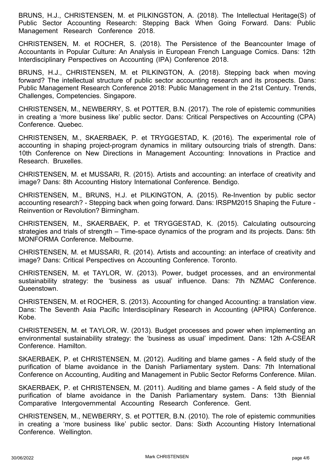BRUNS, H.J., CHRISTENSEN, M. et PILKINGSTON, A. (2018). The Intellectual Heritage(S) of Public Sector Accounting Research: Stepping Back When Going Forward. Dans: Public Management Research Conference 2018.

CHRISTENSEN, M. et ROCHER, S. (2018). The Persistence of the Beancounter Image of Accountants in Popular Culture: An Analysis in European French Language Comics. Dans: 12th Interdisciplinary Perspectives on Accounting (IPA) Conference 2018.

BRUNS, H.J., CHRISTENSEN, M. et PILKINGTON, A. (2018). Stepping back when moving forward? The intellectual structure of public sector accounting research and its prospects. Dans: Public Management Research Conference 2018: Public Management in the 21st Century. Trends, Challenges, Competencies. Singapore.

CHRISTENSEN, M., NEWBERRY, S. et POTTER, B.N. (2017). The role of epistemic communities in creating a 'more business like' public sector. Dans: Critical Perspectives on Accounting (CPA) Conference. Quebec.

CHRISTENSEN, M., SKAERBAEK, P. et TRYGGESTAD, K. (2016). The experimental role of accounting in shaping project-program dynamics in military outsourcing trials of strength. Dans: 10th Conference on New Directions in Management Accounting: Innovations in Practice and Research. Bruxelles.

CHRISTENSEN, M. et MUSSARI, R. (2015). Artists and accounting: an interface of creativity and image? Dans: 8th Accounting History International Conference. Bendigo.

CHRISTENSEN, M., BRUNS, H.J. et PILKINGTON, A. (2015). Re-Invention by public sector accounting research? - Stepping back when going forward. Dans: IRSPM2015 Shaping the Future - Reinvention or Revolution? Birmingham.

CHRISTENSEN, M., SKAERBAEK, P. et TRYGGESTAD, K. (2015). Calculating outsourcing strategies and trials of strength – Time-space dynamics of the program and its projects. Dans: 5th MONFORMA Conference. Melbourne.

CHRISTENSEN, M. et MUSSARI, R. (2014). Artists and accounting: an interface of creativity and image? Dans: Critical Perspectives on Accounting Conference. Toronto.

CHRISTENSEN, M. et TAYLOR, W. (2013). Power, budget processes, and an environmental sustainability strategy: the 'business as usual' influence. Dans: 7th NZMAC Conference. Queenstown.

CHRISTENSEN, M. et ROCHER, S. (2013). Accounting for changed Accounting: a translation view. Dans: The Seventh Asia Pacific Interdisciplinary Research in Accounting (APIRA) Conference. Kobe.

CHRISTENSEN, M. et TAYLOR, W. (2013). Budget processes and power when implementing an environmental sustainability strategy: the 'business as usual' impediment. Dans: 12th A-CSEAR Conference. Hamilton.

SKAERBAEK, P. et CHRISTENSEN, M. (2012). Auditing and blame games - A field study of the purification of blame avoidance in the Danish Parliamentary system. Dans: 7th International Conference on Accounting, Auditing and Management in Public Sector Reforms Conference. Milan.

SKAERBAEK, P. et CHRISTENSEN, M. (2011). Auditing and blame games - A field study of the purification of blame avoidance in the Danish Parliamentary system. Dans: 13th Biennial Comparative Intergovernmental Accounting Research Conference. Gent.

CHRISTENSEN, M., NEWBERRY, S. et POTTER, B.N. (2010). The role of epistemic communities in creating a 'more business like' public sector. Dans: Sixth Accounting History International Conference. Wellington.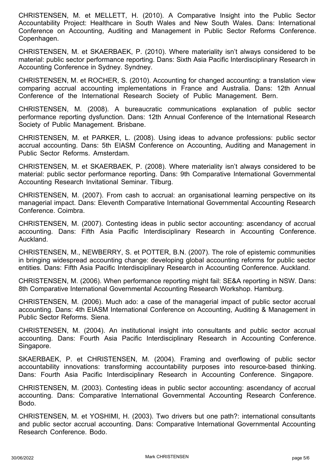CHRISTENSEN, M. et MELLETT, H. (2010). A Comparative Insight into the Public Sector Accountability Project: Healthcare in South Wales and New South Wales. Dans: International Conference on Accounting, Auditing and Management in Public Sector Reforms Conference. Copenhagen.

CHRISTENSEN, M. et SKAERBAEK, P. (2010). Where materiality isn't always considered to be material: public sector performance reporting. Dans: Sixth Asia Pacific Interdisciplinary Research in Accounting Conference in Sydney. Syndney.

CHRISTENSEN, M. et ROCHER, S. (2010). Accounting for changed accounting: a translation view comparing accrual accounting implementations in France and Australia. Dans: 12th Annual Conference of the International Research Society of Public Management. Bern.

CHRISTENSEN, M. (2008). A bureaucratic communications explanation of public sector performance reporting dysfunction. Dans: 12th Annual Conference of the International Research Society of Public Management. Brisbane.

CHRISTENSEN, M. et PARKER, L. (2008). Using ideas to advance professions: public sector accrual accounting. Dans: 5th EIASM Conference on Accounting, Auditing and Management in Public Sector Reforms. Amsterdam.

CHRISTENSEN, M. et SKAERBAEK, P. (2008). Where materiality isn't always considered to be material: public sector performance reporting. Dans: 9th Comparative International Governmental Accounting Research Invitational Seminar. Tilburg.

CHRISTENSEN, M. (2007). From cash to accrual: an organisational learning perspective on its managerial impact. Dans: Eleventh Comparative International Governmental Accounting Research Conference. Coimbra.

CHRISTENSEN, M. (2007). Contesting ideas in public sector accounting: ascendancy of accrual accounting. Dans: Fifth Asia Pacific Interdisciplinary Research in Accounting Conference. Auckland.

CHRISTENSEN, M., NEWBERRY, S. et POTTER, B.N. (2007). The role of epistemic communities in bringing widespread accounting change: developing global accounting reforms for public sector entities. Dans: Fifth Asia Pacific Interdisciplinary Research in Accounting Conference. Auckland.

CHRISTENSEN, M. (2006). When performance reporting might fail: SE&A reporting in NSW. Dans: 8th Comparative International Governmental Accounting Research Workshop. Hamburg.

CHRISTENSEN, M. (2006). Much ado: a case of the managerial impact of public sector accrual accounting. Dans: 4th EIASM International Conference on Accounting, Auditing & Management in Public Sector Reforms. Siena.

CHRISTENSEN, M. (2004). An institutional insight into consultants and public sector accrual accounting. Dans: Fourth Asia Pacific Interdisciplinary Research in Accounting Conference. Singapore.

SKAERBAEK, P. et CHRISTENSEN, M. (2004). Framing and overflowing of public sector accountability innovations: transforming accountability purposes into resource-based thinking. Dans: Fourth Asia Pacific Interdisciplinary Research in Accounting Conference. Singapore.

CHRISTENSEN, M. (2003). Contesting ideas in public sector accounting: ascendancy of accrual accounting. Dans: Comparative International Governmental Accounting Research Conference. Bodo.

CHRISTENSEN, M. et YOSHIMI, H. (2003). Two drivers but one path?: international consultants and public sector accrual accounting. Dans: Comparative International Governmental Accounting Research Conference. Bodo.